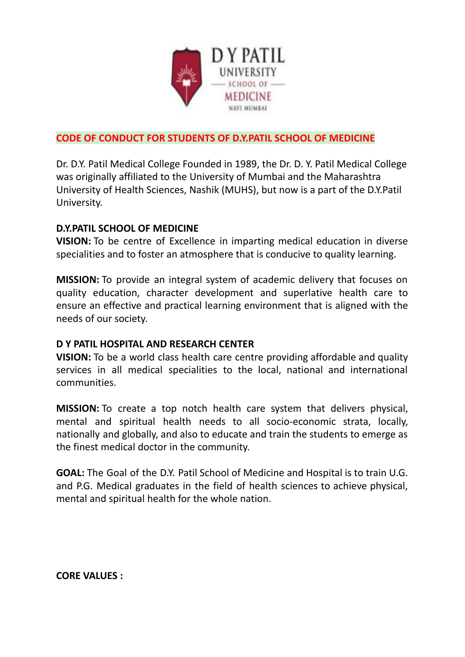

## **CODE OF CONDUCT FOR STUDENTS OF D.Y.PATIL SCHOOL OF MEDICINE**

Dr. D.Y. Patil Medical College Founded in 1989, the Dr. D. Y. Patil Medical College was originally affiliated to the University of Mumbai and the Maharashtra University of Health Sciences, Nashik (MUHS), but now is a part of the D.Y.Patil University.

## **D.Y.PATIL SCHOOL OF MEDICINE**

**VISION:** To be centre of Excellence in imparting medical education in diverse specialities and to foster an atmosphere that is conducive to quality learning.

**MISSION:** To provide an integral system of academic delivery that focuses on quality education, character development and superlative health care to ensure an effective and practical learning environment that is aligned with the needs of our society.

## **D Y PATIL HOSPITAL AND RESEARCH CENTER**

**VISION:** To be a world class health care centre providing affordable and quality services in all medical specialities to the local, national and international communities.

**MISSION:** To create a top notch health care system that delivers physical, mental and spiritual health needs to all socio-economic strata, locally, nationally and globally, and also to educate and train the students to emerge as the finest medical doctor in the community.

**GOAL:** The Goal of the D.Y. Patil School of Medicine and Hospital is to train U.G. and P.G. Medical graduates in the field of health sciences to achieve physical, mental and spiritual health for the whole nation.

**CORE VALUES :**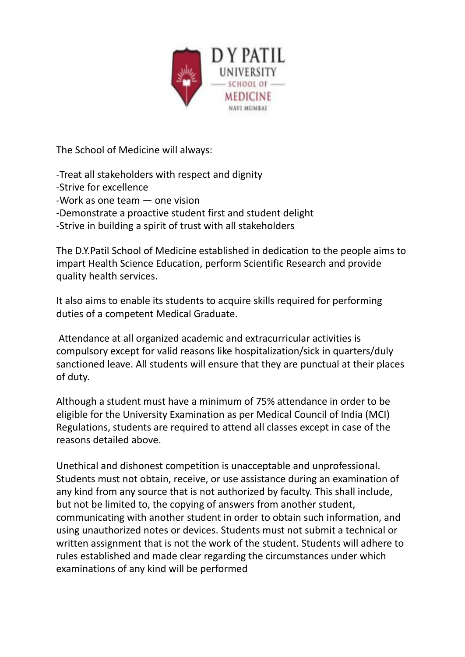

The School of Medicine will always:

-Treat all stakeholders with respect and dignity

- -Strive for excellence
- -Work as one team one vision
- -Demonstrate a proactive student first and student delight
- -Strive in building a spirit of trust with all stakeholders

The D.Y.Patil School of Medicine established in dedication to the people aims to impart Health Science Education, perform Scientific Research and provide quality health services.

It also aims to enable its students to acquire skills required for performing duties of a competent Medical Graduate.

Attendance at all organized academic and extracurricular activities is compulsory except for valid reasons like hospitalization/sick in quarters/duly sanctioned leave. All students will ensure that they are punctual at their places of duty.

Although a student must have a minimum of 75% attendance in order to be eligible for the University Examination as per Medical Council of India (MCI) Regulations, students are required to attend all classes except in case of the reasons detailed above.

Unethical and dishonest competition is unacceptable and unprofessional. Students must not obtain, receive, or use assistance during an examination of any kind from any source that is not authorized by faculty. This shall include, but not be limited to, the copying of answers from another student, communicating with another student in order to obtain such information, and using unauthorized notes or devices. Students must not submit a technical or written assignment that is not the work of the student. Students will adhere to rules established and made clear regarding the circumstances under which examinations of any kind will be performed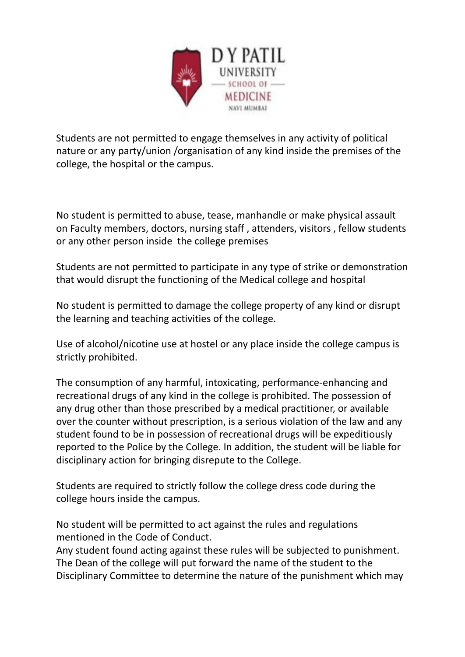

Students are not permitted to engage themselves in any activity of political nature or any party/union /organisation of any kind inside the premises of the college, the hospital or the campus.

No student is permitted to abuse, tease, manhandle or make physical assault on Faculty members, doctors, nursing staff , attenders, visitors , fellow students or any other person inside the college premises

Students are not permitted to participate in any type of strike or demonstration that would disrupt the functioning of the Medical college and hospital

No student is permitted to damage the college property of any kind or disrupt the learning and teaching activities of the college.

Use of alcohol/nicotine use at hostel or any place inside the college campus is strictly prohibited.

The consumption of any harmful, intoxicating, performance-enhancing and recreational drugs of any kind in the college is prohibited. The possession of any drug other than those prescribed by a medical practitioner, or available over the counter without prescription, is a serious violation of the law and any student found to be in possession of recreational drugs will be expeditiously reported to the Police by the College. In addition, the student will be liable for disciplinary action for bringing disrepute to the College.

Students are required to strictly follow the college dress code during the college hours inside the campus.

No student will be permitted to act against the rules and regulations mentioned in the Code of Conduct.

Any student found acting against these rules will be subjected to punishment. The Dean of the college will put forward the name of the student to the Disciplinary Committee to determine the nature of the punishment which may